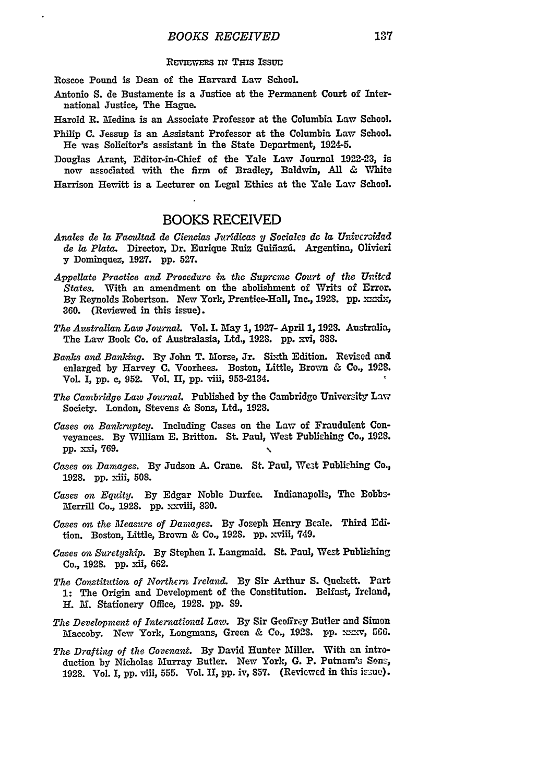Roscoe Pound is Dean of the Harvard Law School.

- Antonio **S.** de Bustamente is a Justice at the Permanent Court of International Justice, The Hague.
- Harold R. Medina is an Associate Professor at the Columbia Law School.
- Philip **C.** Jessup is an Assistant Professor at the Columbia Law School. He was Solicitor's assistant in the State Department, **1924-5.**
- Douglas Arant, Editor-in-Chief of the Yale Law Journal **1922-23,** is now associated with the firm of Bradley, Baldwin, **All** & White
- Harrison Hewitt is a Lecturer on Legal Ethics at the Yale Law School.

## BOOKS RECEIVED

- *Anales de la Faczlta4 de Ciencias turdicas V Sociales do l Univcrafdd* de la Plata. Director, Dr. Eurique Ruiz Guiñazú. Argentina, Olivieri y Dominquez, 1927. **pp. 527.**
- Appellate Practice and Procedure in the Supreme Court of the United *States.* With an amendment on the abolishment of Writs of Error. By Reynolds Robertson. New York, Prentice-Hall, Inc., 1928. pp. xxxix, **360.** (Reviewed in this issue).
- *The Australian Law Journa.* Vol. I. May **1, 1927-** April **1, 1923.** Australia, The Law Book **Co.** of Australasia, Ltd., **1928. pp.** xvi, **3SS.**
- *Banks and Banking.* **By** John T. Morse, Jr. Sixth Edition. Revised and enlarged by Harvey **C.** Voorhees. Boston, Little, Brown & Co., **1928.** Vol. I, **pp.** c, **952.** Vol. II, **pp.** viii, **953-2134. q**
- *The Cambridge Law Journal.* Published **by** the Cambridge University Law Society. London, Stevens & Sons, Ltd., 1923.
- *Cases on Bankruptcy.* Including Cases on the Law of Fraudulent Conveyances. By William **E.** Britton. St. Paul, West Publishing Co., 1928. **pp. xi, 769. %**
- *Cases on Damages.* **By** Judson **A.** Crane. St. Paul, West Publishing Co., **1928. pp. xii,** 508.
- *Cases on Equity.* **By** Edgar Noble Durfee. Indianapolis, The Bobbz-Merrill Co., 1928. pp. xxviii, 830.
- *Cases on the Measure of* Damges. **By** Joseph Henry Beale. Third Edition. Boston, Little, Brown & Co., **192S.** pp. xviii, 749.
- *Cases on Suretyship.* **By** Stephen I. Langmaid. **St.** Paul, West Publishing Co., 1928. pp. xii, 662.
- *The Constitution of Northcrn Ireland.* **By** Sir Arthur S. Quekett. Part **1:** The Origin and Development of the Constitution. Belfast, Ireland, **H.** *M.* Stationery Office, **1928. pp. S9.**
- *The Development of International Law.* **By** Sir Geoffrey Butler and Simon Maccoby. New York, Longmans, Green & Co., 1923. pp. XXXV, 566.
- *The Drafting of the Covenant.* **By** David Hunter Miller. With an introduction by Nicholas Murray Butler. New York, **G.** P. Putnam's Sons, 1928. Vol. I, **pp.** viii, **555.** Vol. **II, pp.** iv, 857. (Reviewed in this issue).